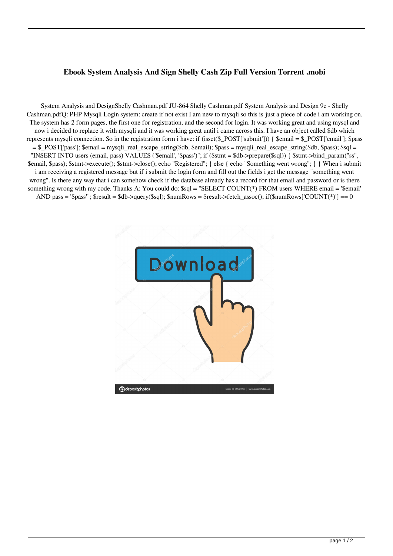## **Ebook System Analysis And Sign Shelly Cash Zip Full Version Torrent .mobi**

System Analysis and DesignShelly Cashman.pdf JU-864 Shelly Cashman.pdf System Analysis and Design 9e - Shelly Cashman.pdfQ: PHP Mysqli Login system; create if not exist I am new to mysqli so this is just a piece of code i am working on. The system has 2 form pages, the first one for registration, and the second for login. It was working great and using mysql and now i decided to replace it with mysqli and it was working great until i came across this. I have an object called \$db which represents mysqli connection. So in the registration form i have: if (isset(\$\_POST['submit'])) { \$email = \$\_POST['email']; \$pass = \$\_POST['pass']; \$email = mysqli\_real\_escape\_string(\$db, \$email); \$pass = mysqli\_real\_escape\_string(\$db, \$pass); \$sql = "INSERT INTO users (email, pass) VALUES ('\$email', '\$pass')"; if (\$stmt = \$db->prepare(\$sql)) { \$stmt->bind\_param("ss", \$email, \$pass); \$stmt->execute(); \$stmt->close(); echo "Registered"; } else { echo "Something went wrong"; } } When i submit i am receiving a registered message but if i submit the login form and fill out the fields i get the message "something went wrong". Is there any way that i can somehow check if the database already has a record for that email and password or is there something wrong with my code. Thanks A: You could do: \$sql = "SELECT COUNT(\*) FROM users WHERE email = '\$email' AND pass = '\$pass'"; \$result = \$db->query(\$sql); \$numRows = \$result->fetch\_assoc(); if(\$numRows['COUNT(\*)'] == 0